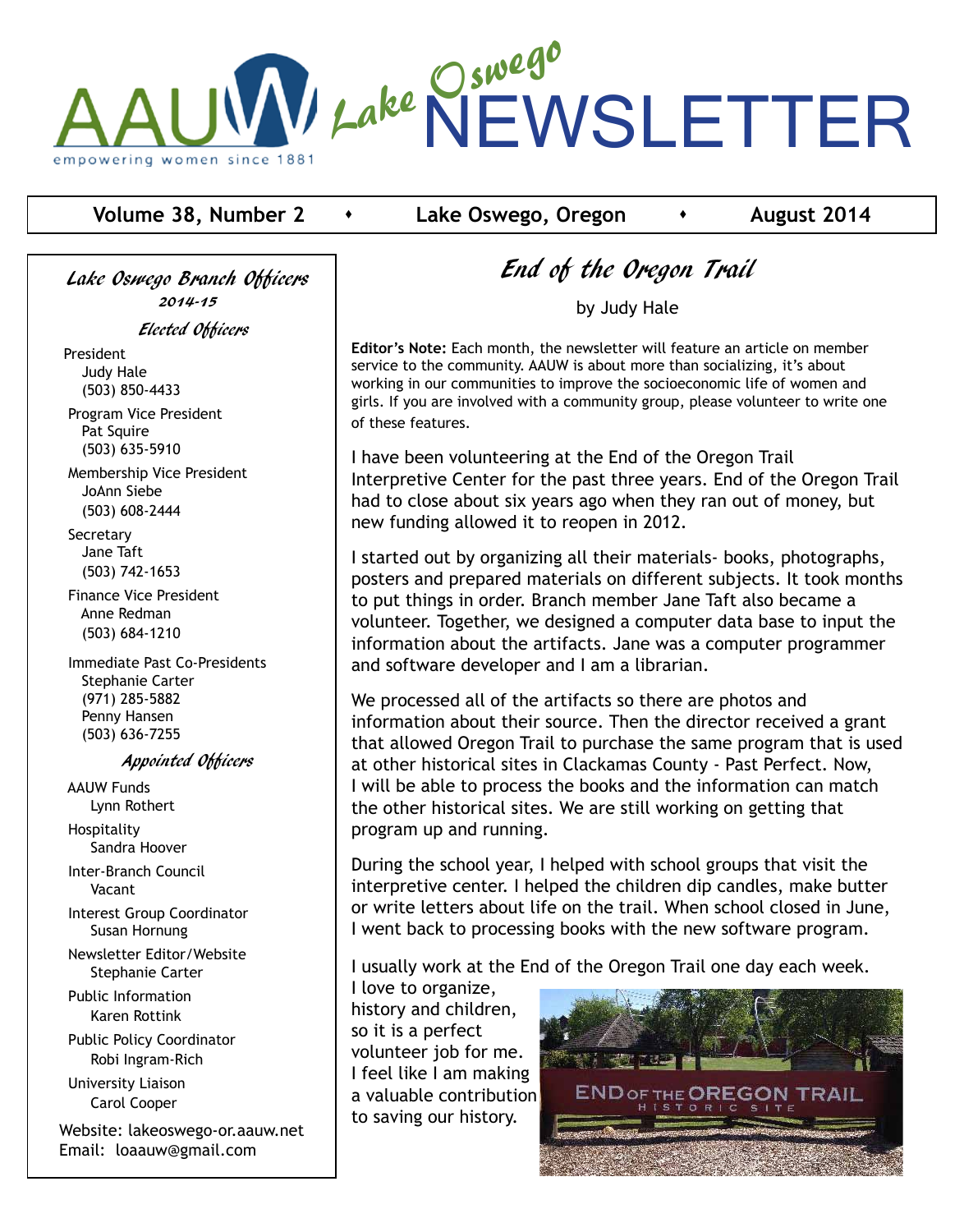

## **Volume 38, Number 2 component 4 contract 2014**

Lake Oswego Branch Officers 2014-15

Elected Officers

President Judy Hale (503) 850-4433

 Program Vice President Pat Squire (503) 635-5910

 Membership Vice President JoAnn Siebe (503) 608-2444

**Secretary**  Jane Taft (503) 742-1653

 Finance Vice President Anne Redman (503) 684-1210

 Immediate Past Co-Presidents Stephanie Carter (971) 285-5882 Penny Hansen (503) 636-7255

#### Appointed Officers

 AAUW Funds Lynn Rothert Hospitality

Sandra Hoover

 Inter-Branch Council Vacant

 Interest Group Coordinator Susan Hornung

 Newsletter Editor/Website Stephanie Carter

 Public Information Karen Rottink

 Public Policy Coordinator Robi Ingram-Rich

 University Liaison Carol Cooper

Website: lakeoswego-or.aauw.net Email: loaauw@gmail.com

# End of the Oregon Trail

by Judy Hale

**Editor's Note:** Each month, the newsletter will feature an article on member service to the community. AAUW is about more than socializing, it's about working in our communities to improve the socioeconomic life of women and girls. If you are involved with a community group, please volunteer to write one of these features.

I have been volunteering at the End of the Oregon Trail Interpretive Center for the past three years. End of the Oregon Trail had to close about six years ago when they ran out of money, but new funding allowed it to reopen in 2012.

I started out by organizing all their materials- books, photographs, posters and prepared materials on different subjects. It took months to put things in order. Branch member Jane Taft also became a volunteer. Together, we designed a computer data base to input the information about the artifacts. Jane was a computer programmer and software developer and I am a librarian.

We processed all of the artifacts so there are photos and information about their source. Then the director received a grant that allowed Oregon Trail to purchase the same program that is used at other historical sites in Clackamas County - Past Perfect. Now, I will be able to process the books and the information can match the other historical sites. We are still working on getting that program up and running.

During the school year, I helped with school groups that visit the interpretive center. I helped the children dip candles, make butter or write letters about life on the trail. When school closed in June, I went back to processing books with the new software program.

I usually work at the End of the Oregon Trail one day each week.

I love to organize, history and children, so it is a perfect volunteer job for me. I feel like I am making a valuable contribution to saving our history.

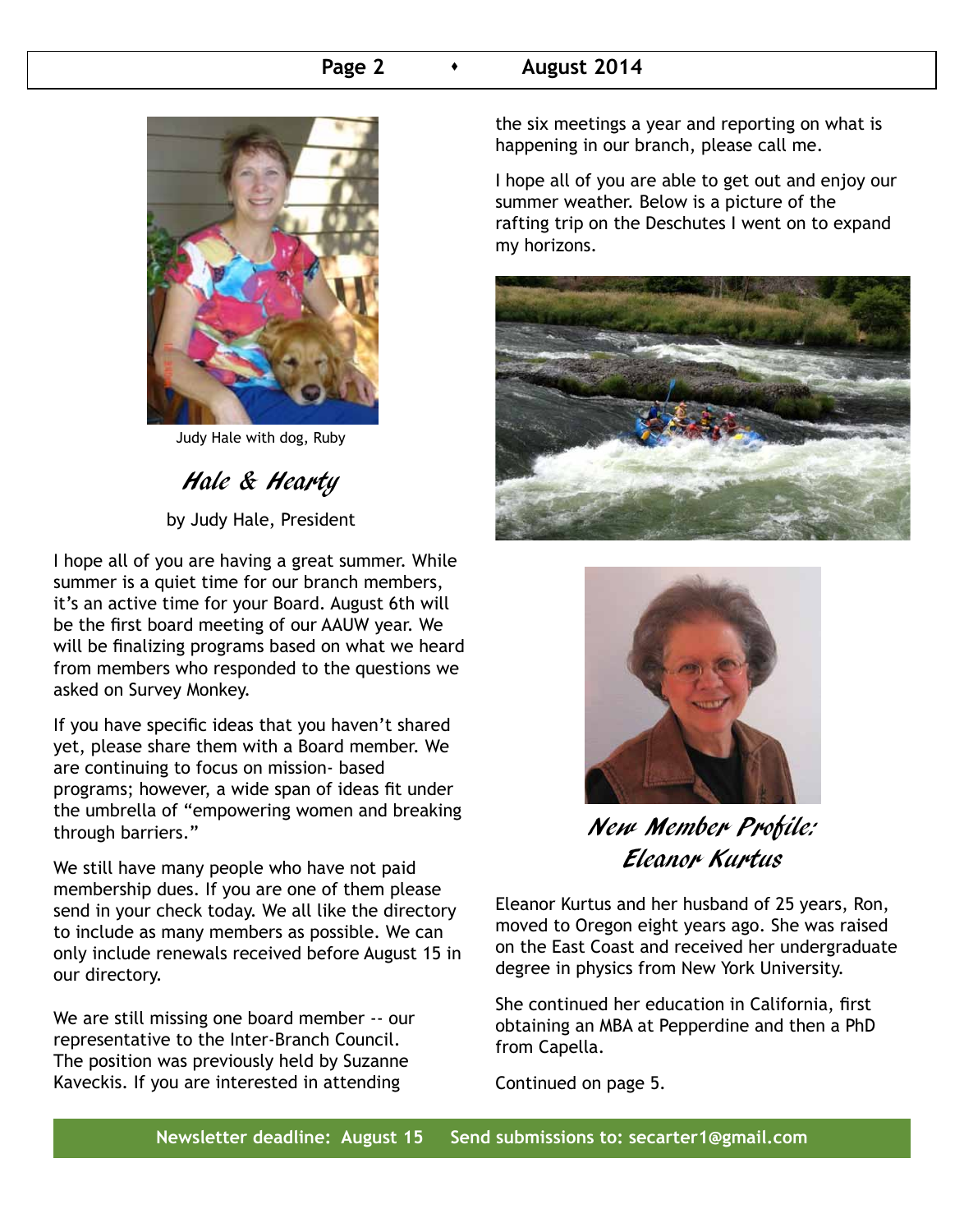## **Page 2 c c August 2014**



Judy Hale with dog, Ruby

Hale & Hearty

by Judy Hale, President

I hope all of you are having a great summer. While summer is a quiet time for our branch members, it's an active time for your Board. August 6th will be the first board meeting of our AAUW year. We will be finalizing programs based on what we heard from members who responded to the questions we asked on Survey Monkey.

If you have specific ideas that you haven't shared yet, please share them with a Board member. We are continuing to focus on mission- based programs; however, a wide span of ideas fit under the umbrella of "empowering women and breaking through barriers."

We still have many people who have not paid membership dues. If you are one of them please send in your check today. We all like the directory to include as many members as possible. We can only include renewals received before August 15 in our directory.

We are still missing one board member -- our representative to the Inter-Branch Council. The position was previously held by Suzanne Kaveckis. If you are interested in attending

the six meetings a year and reporting on what is happening in our branch, please call me.

I hope all of you are able to get out and enjoy our summer weather. Below is a picture of the rafting trip on the Deschutes I went on to expand my horizons.





New Member Profile: Eleanor Kurtus

Eleanor Kurtus and her husband of 25 years, Ron, moved to Oregon eight years ago. She was raised on the East Coast and received her undergraduate degree in physics from New York University.

She continued her education in California, first obtaining an MBA at Pepperdine and then a PhD from Capella.

Continued on page 5.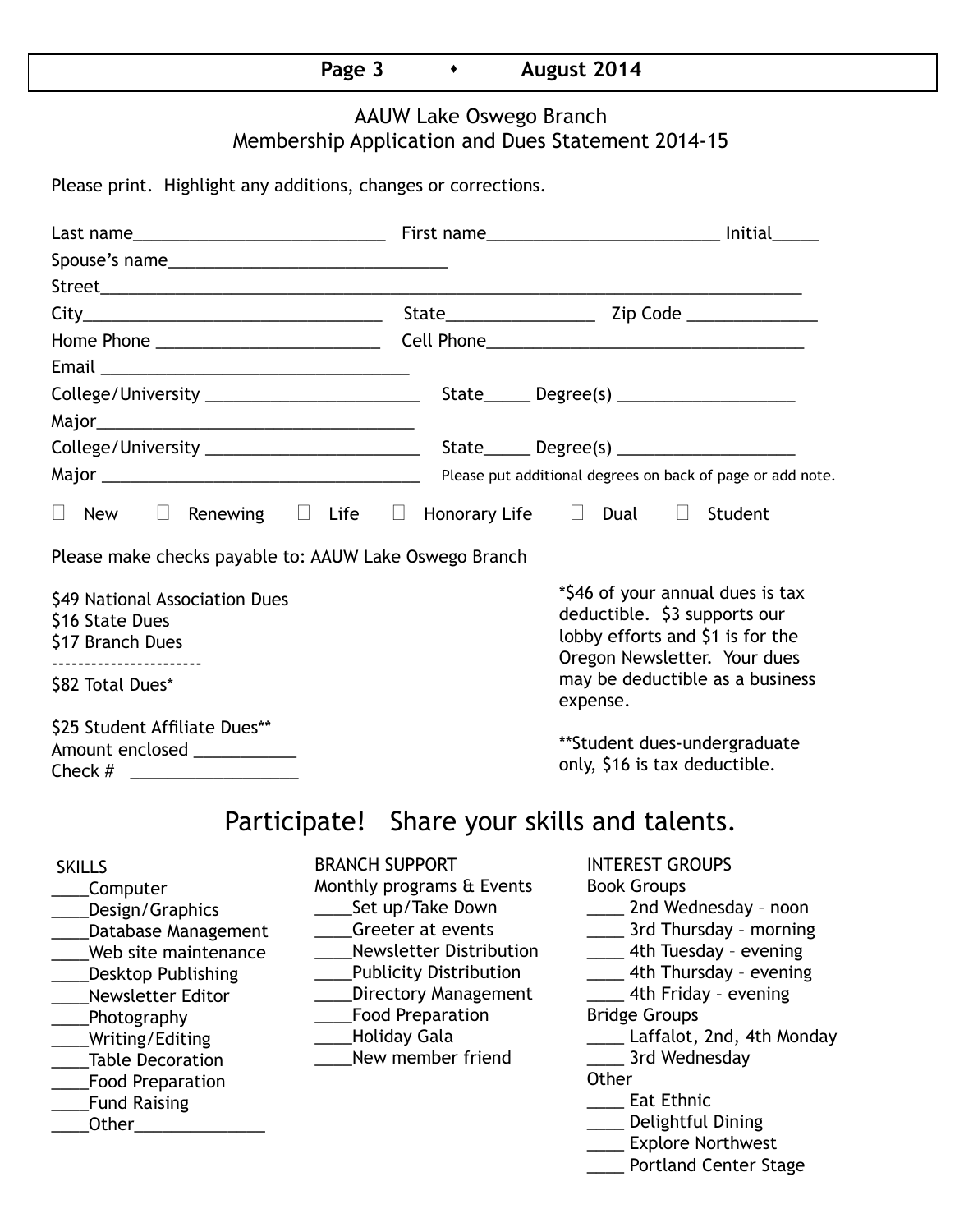# **Page 3 • August 2014**

# AAUW Lake Oswego Branch Membership Application and Dues Statement 2014-15

Please print. Highlight any additions, changes or corrections.

| College/University ____________________________                                                                                                                                                                                                              |                                                                                                                                                                                                                                                                      | $State$ Degree(s) _____________________                                                                                                                                                                                                                                                                                                                                  |  |  |  |  |
|--------------------------------------------------------------------------------------------------------------------------------------------------------------------------------------------------------------------------------------------------------------|----------------------------------------------------------------------------------------------------------------------------------------------------------------------------------------------------------------------------------------------------------------------|--------------------------------------------------------------------------------------------------------------------------------------------------------------------------------------------------------------------------------------------------------------------------------------------------------------------------------------------------------------------------|--|--|--|--|
|                                                                                                                                                                                                                                                              |                                                                                                                                                                                                                                                                      |                                                                                                                                                                                                                                                                                                                                                                          |  |  |  |  |
|                                                                                                                                                                                                                                                              |                                                                                                                                                                                                                                                                      |                                                                                                                                                                                                                                                                                                                                                                          |  |  |  |  |
|                                                                                                                                                                                                                                                              |                                                                                                                                                                                                                                                                      | Please put additional degrees on back of page or add note.                                                                                                                                                                                                                                                                                                               |  |  |  |  |
| $\Box$<br>New                                                                                                                                                                                                                                                | Renewing $\Box$ Life $\Box$ Honorary Life $\Box$ Dual $\Box$                                                                                                                                                                                                         | Student                                                                                                                                                                                                                                                                                                                                                                  |  |  |  |  |
| Please make checks payable to: AAUW Lake Oswego Branch                                                                                                                                                                                                       |                                                                                                                                                                                                                                                                      |                                                                                                                                                                                                                                                                                                                                                                          |  |  |  |  |
| \$49 National Association Dues<br>\$16 State Dues<br>\$17 Branch Dues<br>\$82 Total Dues*                                                                                                                                                                    |                                                                                                                                                                                                                                                                      | *\$46 of your annual dues is tax<br>deductible. \$3 supports our<br>lobby efforts and \$1 is for the<br>Oregon Newsletter. Your dues<br>may be deductible as a business                                                                                                                                                                                                  |  |  |  |  |
|                                                                                                                                                                                                                                                              |                                                                                                                                                                                                                                                                      | expense.                                                                                                                                                                                                                                                                                                                                                                 |  |  |  |  |
| \$25 Student Affiliate Dues**<br>Amount enclosed ___________<br>Check # ______________________                                                                                                                                                               |                                                                                                                                                                                                                                                                      | **Student dues-undergraduate<br>only, \$16 is tax deductible.                                                                                                                                                                                                                                                                                                            |  |  |  |  |
|                                                                                                                                                                                                                                                              | Participate! Share your skills and talents.                                                                                                                                                                                                                          |                                                                                                                                                                                                                                                                                                                                                                          |  |  |  |  |
| <b>SKILLS</b><br>Computer<br>Design/Graphics<br>Database Management<br>Web site maintenance<br><b>Desktop Publishing</b><br>Newsletter Editor<br>Photography<br>Writing/Editing<br><b>Table Decoration</b><br><b>Food Preparation</b><br><b>Fund Raising</b> | <b>BRANCH SUPPORT</b><br>Monthly programs & Events<br>Set up/Take Down<br>Greeter at events<br><b>Newsletter Distribution</b><br><b>Publicity Distribution</b><br><b>Directory Management</b><br><b>Food Preparation</b><br><b>Holiday Gala</b><br>New member friend | <b>INTEREST GROUPS</b><br><b>Book Groups</b><br>_____ 2nd Wednesday - noon<br>3rd Thursday - morning<br>_____ 4th Tuesday - evening<br>4th Thursday - evening<br>___ 4th Friday - evening<br><b>Bridge Groups</b><br>Laffalot, 2nd, 4th Monday<br>3rd Wednesday<br>Other<br><b>Eat Ethnic</b><br>Delightful Dining<br>___ Explore Northwest<br>___ Portland Center Stage |  |  |  |  |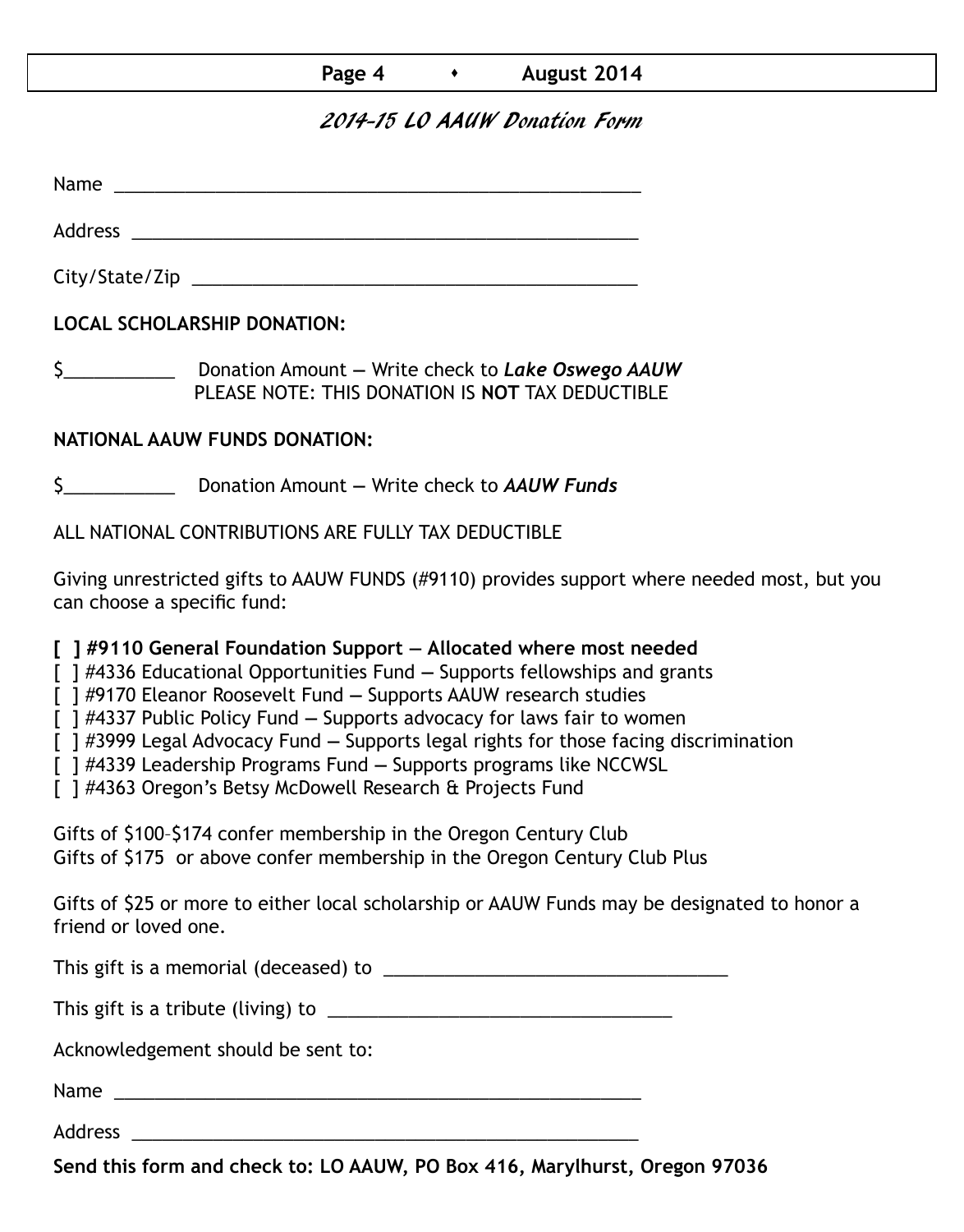# **Page 4 b August 2014**

# 2014-15 LO AAUW Donation Form

Name was also as  $\sim$  100  $\mu$  and  $\mu$  and  $\mu$  and  $\mu$  and  $\mu$  and  $\mu$  and  $\mu$ 

Address \_\_\_\_\_\_\_\_\_\_\_\_\_\_\_\_\_\_\_\_\_\_\_\_\_\_\_\_\_\_\_\_\_\_\_\_\_\_\_\_\_\_\_\_\_\_\_\_\_\_

City/State/Zip 2000 and 2000 and 2000 and 2000 and 2000 and 2000 and 2000 and 2000 and 2000 and 200

**LOCAL SCHOLARSHIP DONATION:**

\$\_\_\_\_\_\_\_\_\_\_\_ Donation Amount **—** Write check to *Lake Oswego AAUW* PLEASE NOTE: THIS DONATION IS **NOT** TAX DEDUCTIBLE

# **NATIONAL AAUW FUNDS DONATION:**

\$\_\_\_\_\_\_\_\_\_\_\_ Donation Amount **—** Write check to *AAUW Funds*

ALL NATIONAL CONTRIBUTIONS ARE FULLY TAX DEDUCTIBLE

Giving unrestricted gifts to AAUW FUNDS (#9110) provides support where needed most, but you can choose a specific fund:

**[ ] #9110 General Foundation Support — Allocated where most needed** 

[ ] #4336 Educational Opportunities Fund **—** Supports fellowships and grants

[ ] #9170 Eleanor Roosevelt Fund **—** Supports AAUW research studies

[ ] #4337 Public Policy Fund **—** Supports advocacy for laws fair to women

[ ] #3999 Legal Advocacy Fund **—** Supports legal rights for those facing discrimination

[ ] #4339 Leadership Programs Fund **—** Supports programs like NCCWSL

[ ] #4363 Oregon's Betsy McDowell Research & Projects Fund

Gifts of \$100–\$174 confer membership in the Oregon Century Club Gifts of \$175 or above confer membership in the Oregon Century Club Plus

Gifts of \$25 or more to either local scholarship or AAUW Funds may be designated to honor a friend or loved one.

This gift is a memorial (deceased) to \_\_\_\_\_\_\_\_\_\_\_\_\_\_\_\_\_\_\_\_\_\_\_\_\_\_\_\_\_\_\_\_\_\_

This gift is a tribute (living) to \_\_\_\_\_\_\_\_\_\_\_\_\_\_\_\_\_\_\_\_\_\_\_\_\_\_\_\_\_\_\_\_\_\_

Acknowledgement should be sent to:

Name \_\_\_\_\_\_\_\_\_\_\_\_\_\_\_\_\_\_\_\_\_\_\_\_\_\_\_\_\_\_\_\_\_\_\_\_\_\_\_\_\_\_\_\_\_\_\_\_\_\_\_\_

Address \_\_\_\_\_\_\_\_\_\_\_\_\_\_\_\_\_\_\_\_\_\_\_\_\_\_\_\_\_\_\_\_\_\_\_\_\_\_\_\_\_\_\_\_\_\_\_\_\_\_

**Send this form and check to: LO AAUW, PO Box 416, Marylhurst, Oregon 97036**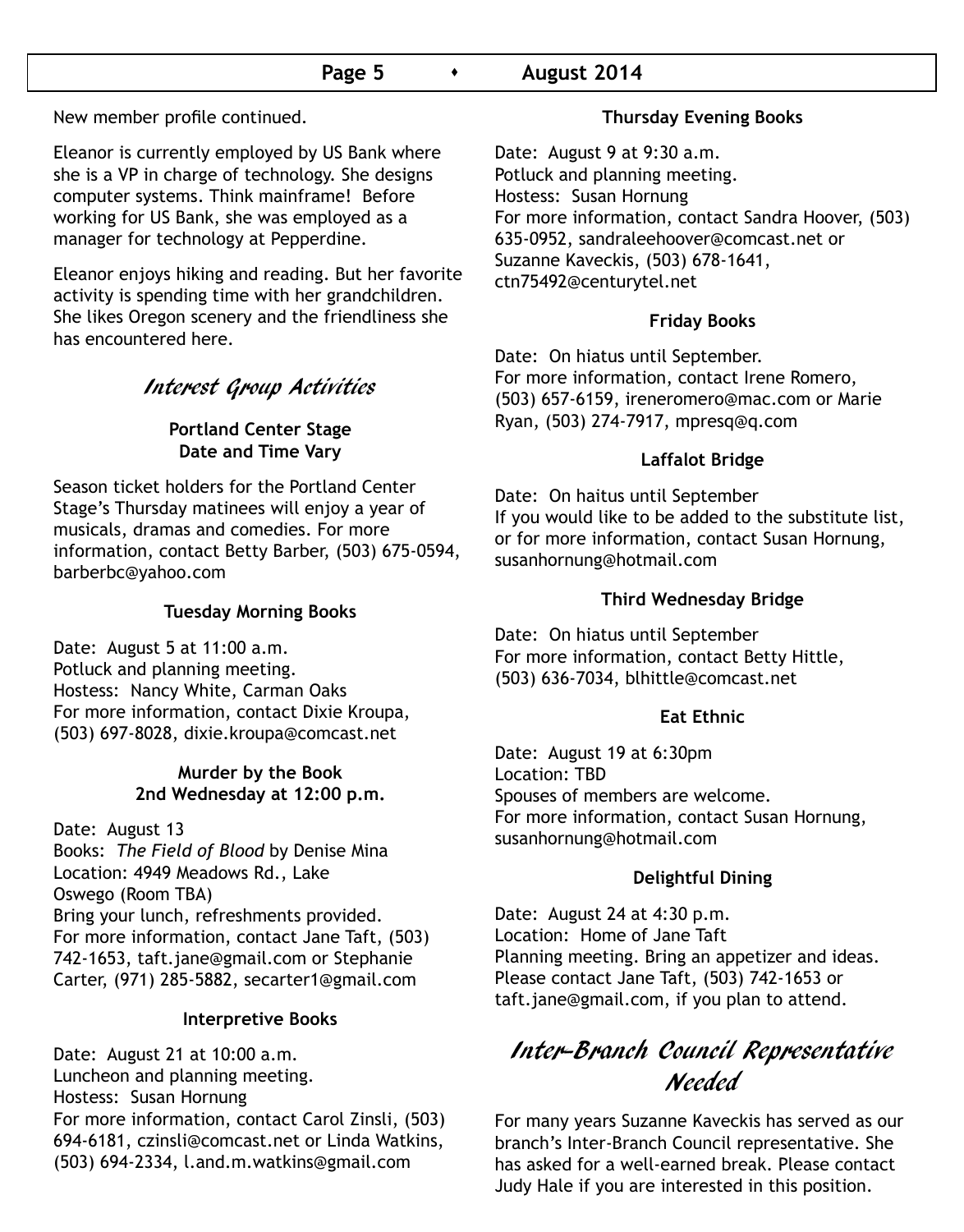# **Page 5 •** August 2014

New member profile continued.

Eleanor is currently employed by US Bank where she is a VP in charge of technology. She designs computer systems. Think mainframe! Before working for US Bank, she was employed as a manager for technology at Pepperdine.

Eleanor enjoys hiking and reading. But her favorite activity is spending time with her grandchildren. She likes Oregon scenery and the friendliness she has encountered here.

# Interest Group Activities

#### **Portland Center Stage Date and Time Vary**

Season ticket holders for the Portland Center Stage's Thursday matinees will enjoy a year of musicals, dramas and comedies. For more information, contact Betty Barber, (503) 675-0594, barberbc@yahoo.com

#### **Tuesday Morning Books**

Date: August 5 at 11:00 a.m. Potluck and planning meeting. Hostess: Nancy White, Carman Oaks For more information, contact Dixie Kroupa, (503) 697-8028, dixie.kroupa@comcast.net

#### **Murder by the Book 2nd Wednesday at 12:00 p.m.**

Date: August 13 Books: *The Field of Blood* by Denise Mina Location: 4949 Meadows Rd., Lake Oswego (Room TBA) Bring your lunch, refreshments provided. For more information, contact Jane Taft, (503) 742-1653, taft.jane@gmail.com or Stephanie Carter, (971) 285-5882, secarter1@gmail.com

#### **Interpretive Books**

Date: August 21 at 10:00 a.m. Luncheon and planning meeting. Hostess: Susan Hornung For more information, contact Carol Zinsli, (503) 694-6181, czinsli@comcast.net or Linda Watkins, (503) 694-2334, l.and.m.watkins@gmail.com

#### **Thursday Evening Books**

Date: August 9 at 9:30 a.m. Potluck and planning meeting. Hostess: Susan Hornung For more information, contact Sandra Hoover, (503) 635-0952, sandraleehoover@comcast.net or Suzanne Kaveckis, (503) 678-1641, ctn75492@centurytel.net

#### **Friday Books**

Date: On hiatus until September. For more information, contact Irene Romero, (503) 657-6159, ireneromero@mac.com or Marie Ryan, (503) 274-7917, mpresq@q.com

#### **Laffalot Bridge**

Date: On haitus until September If you would like to be added to the substitute list, or for more information, contact Susan Hornung, susanhornung@hotmail.com

#### **Third Wednesday Bridge**

Date: On hiatus until September For more information, contact Betty Hittle, (503) 636-7034, blhittle@comcast.net

#### **Eat Ethnic**

Date: August 19 at 6:30pm Location: TBD Spouses of members are welcome. For more information, contact Susan Hornung, susanhornung@hotmail.com

#### **Delightful Dining**

Date: August 24 at 4:30 p.m. Location: Home of Jane Taft Planning meeting. Bring an appetizer and ideas. Please contact Jane Taft, (503) 742-1653 or taft.jane@gmail.com, if you plan to attend.

# Inter-Branch Council Representative Needed

For many years Suzanne Kaveckis has served as our branch's Inter-Branch Council representative. She has asked for a well-earned break. Please contact Judy Hale if you are interested in this position.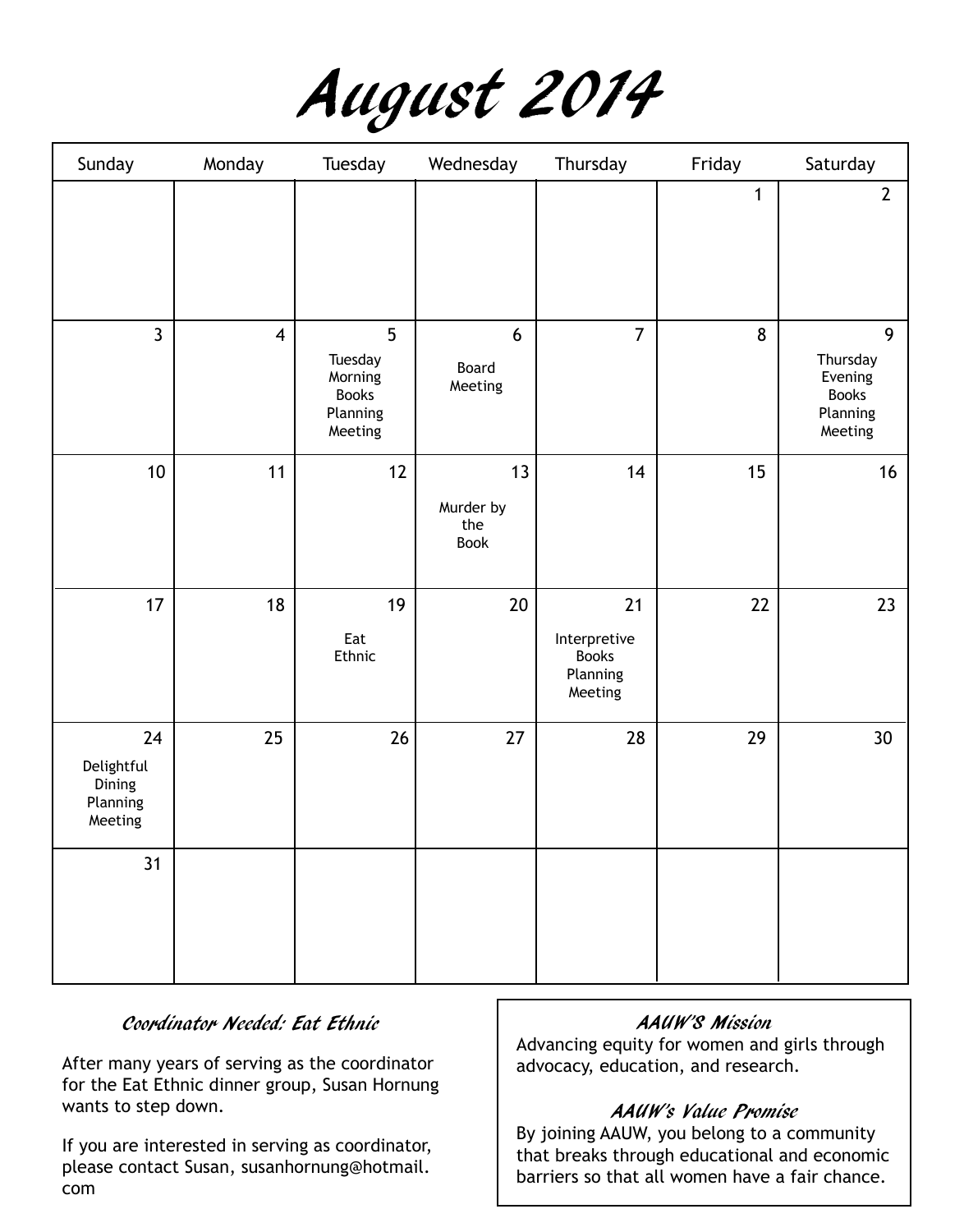

| Sunday                                            | Monday                  | Tuesday                                                                     | Wednesday                      | Thursday                                                  | Friday      | Saturday                                                        |
|---------------------------------------------------|-------------------------|-----------------------------------------------------------------------------|--------------------------------|-----------------------------------------------------------|-------------|-----------------------------------------------------------------|
|                                                   |                         |                                                                             |                                |                                                           | $\mathbf 1$ | $\overline{2}$                                                  |
| $\overline{3}$                                    | $\overline{\mathbf{4}}$ | 5 <sup>5</sup><br>Tuesday<br>Morning<br><b>Books</b><br>Planning<br>Meeting | 6<br>Board<br>Meeting          | $\overline{7}$                                            | 8           | 9<br>Thursday<br>Evening<br><b>Books</b><br>Planning<br>Meeting |
| 10                                                | 11                      | 12                                                                          | 13<br>Murder by<br>the<br>Book | 14                                                        | 15          | 16                                                              |
| 17                                                | 18                      | 19<br>Eat<br>Ethnic                                                         | 20                             | 21<br>Interpretive<br><b>Books</b><br>Planning<br>Meeting | 22          | 23                                                              |
| 24<br>Delightful<br>Dining<br>Planning<br>Meeting | 25                      | 26                                                                          | 27                             | 28                                                        | 29          | 30                                                              |
| 31                                                |                         |                                                                             |                                |                                                           |             |                                                                 |

## Coordinator Needed: Eat Ethnic

After many years of serving as the coordinator for the Eat Ethnic dinner group, Susan Hornung wants to step down.

If you are interested in serving as coordinator, please contact Susan, susanhornung@hotmail. com

#### AAUW'S Mission

Advancing equity for women and girls through advocacy, education, and research.

## AAUW's Value Promise

By joining AAUW, you belong to a community that breaks through educational and economic barriers so that all women have a fair chance.